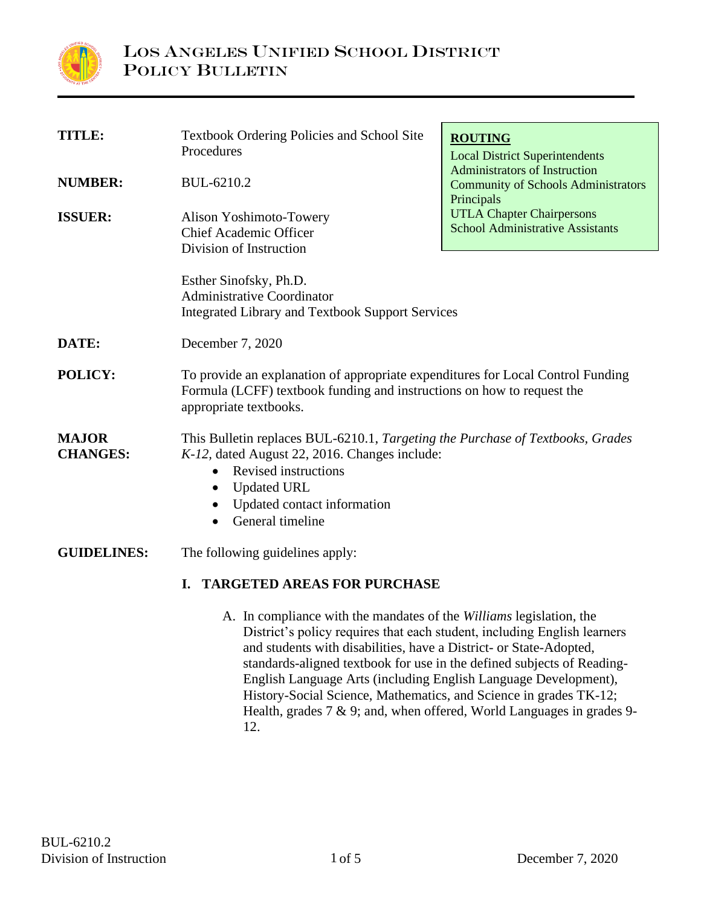

| <b>TITLE:</b>                   | <b>Textbook Ordering Policies and School Site</b><br>Procedures                                                                                                                                                                                                                                                                                                                                                                         | <b>ROUTING</b><br><b>Local District Superintendents</b>                                          |
|---------------------------------|-----------------------------------------------------------------------------------------------------------------------------------------------------------------------------------------------------------------------------------------------------------------------------------------------------------------------------------------------------------------------------------------------------------------------------------------|--------------------------------------------------------------------------------------------------|
| <b>NUMBER:</b>                  | BUL-6210.2                                                                                                                                                                                                                                                                                                                                                                                                                              | <b>Administrators of Instruction</b><br><b>Community of Schools Administrators</b><br>Principals |
| <b>ISSUER:</b>                  | Alison Yoshimoto-Towery<br>Chief Academic Officer<br>Division of Instruction                                                                                                                                                                                                                                                                                                                                                            | <b>UTLA Chapter Chairpersons</b><br><b>School Administrative Assistants</b>                      |
|                                 | Esther Sinofsky, Ph.D.<br><b>Administrative Coordinator</b><br><b>Integrated Library and Textbook Support Services</b>                                                                                                                                                                                                                                                                                                                  |                                                                                                  |
| DATE:                           | December 7, 2020                                                                                                                                                                                                                                                                                                                                                                                                                        |                                                                                                  |
| POLICY:                         | To provide an explanation of appropriate expenditures for Local Control Funding<br>Formula (LCFF) textbook funding and instructions on how to request the<br>appropriate textbooks.                                                                                                                                                                                                                                                     |                                                                                                  |
| <b>MAJOR</b><br><b>CHANGES:</b> | This Bulletin replaces BUL-6210.1, Targeting the Purchase of Textbooks, Grades<br>K-12, dated August 22, 2016. Changes include:<br><b>Revised instructions</b><br>$\bullet$<br><b>Updated URL</b><br>$\bullet$<br>Updated contact information<br>General timeline                                                                                                                                                                       |                                                                                                  |
| <b>GUIDELINES:</b>              | The following guidelines apply:                                                                                                                                                                                                                                                                                                                                                                                                         |                                                                                                  |
|                                 | <b>TARGETED AREAS FOR PURCHASE</b><br>L.                                                                                                                                                                                                                                                                                                                                                                                                |                                                                                                  |
|                                 | A. In compliance with the mandates of the Williams legislation, the<br>District's policy requires that each student, including English learners<br>and students with disabilities, have a District- or State-Adopted,<br>standards-aligned textbook for use in the defined subjects of Reading-<br>English Language Arts (including English Language Development),<br>History-Social Science, Mathematics, and Science in grades TK-12; | Health, grades $7 \& 9$ ; and, when offered, World Languages in grades 9-                        |

12.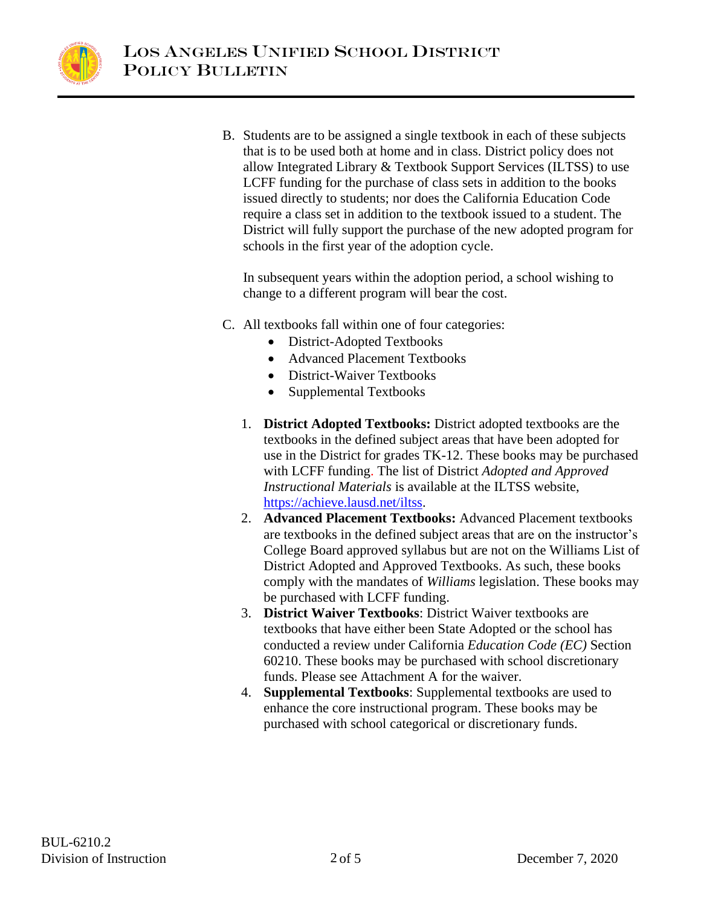

B. Students are to be assigned a single textbook in each of these subjects that is to be used both at home and in class. District policy does not allow Integrated Library & Textbook Support Services (ILTSS) to use LCFF funding for the purchase of class sets in addition to the books issued directly to students; nor does the California Education Code require a class set in addition to the textbook issued to a student. The District will fully support the purchase of the new adopted program for schools in the first year of the adoption cycle.

In subsequent years within the adoption period, a school wishing to change to a different program will bear the cost.

- C. All textbooks fall within one of four categories:
	- District-Adopted Textbooks
	- Advanced Placement Textbooks
	- District-Waiver Textbooks
	- Supplemental Textbooks
	- 1. **District Adopted Textbooks:** District adopted textbooks are the textbooks in the defined subject areas that have been adopted for use in the District for grades TK-12. These books may be purchased with LCFF funding. The list of District *Adopted and Approved Instructional Materials* is available at the ILTSS website, [https://achieve.lausd.net/iltss.](https://achieve.lausd.net/iltss)
	- 2. **Advanced Placement Textbooks:** Advanced Placement textbooks are textbooks in the defined subject areas that are on the instructor's College Board approved syllabus but are not on the Williams List of District Adopted and Approved Textbooks. As such, these books comply with the mandates of *Williams* legislation. These books may be purchased with LCFF funding.
	- 3. **District Waiver Textbooks**: District Waiver textbooks are textbooks that have either been State Adopted or the school has conducted a review under California *Education Code (EC)* Section 60210. These books may be purchased with school discretionary funds. Please see Attachment A for the waiver.
	- 4. **Supplemental Textbooks**: Supplemental textbooks are used to enhance the core instructional program. These books may be purchased with school categorical or discretionary funds.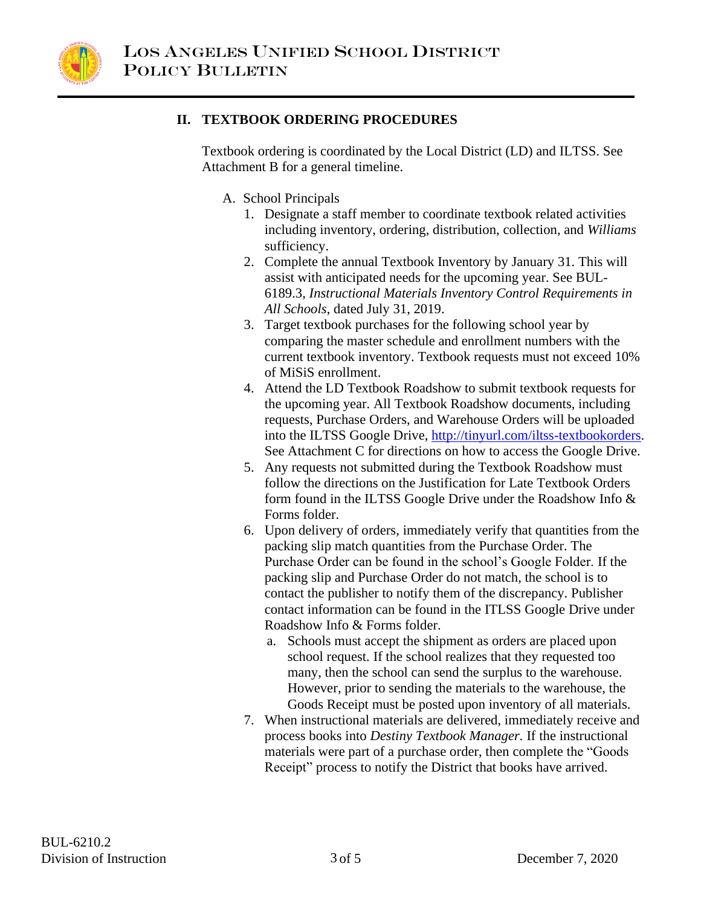

#### **II. TEXTBOOK ORDERING PROCEDURES**

Textbook ordering is coordinated by the Local District (LD) and ILTSS. See Attachment B for a general timeline.

A. School Principals

- 1. Designate a staff member to coordinate textbook related activities including inventory, ordering, distribution, collection, and *Williams* sufficiency.
- 2. Complete the annual Textbook Inventory by January 31. This will assist with anticipated needs for the upcoming year. See BUL-6189.3, *Instructional Materials Inventory Control Requirements in All Schools*, dated July 31, 2019.
- 3. Target textbook purchases for the following school year by comparing the master schedule and enrollment numbers with the current textbook inventory. Textbook requests must not exceed 10% of MiSiS enrollment.
- 4. Attend the LD Textbook Roadshow to submit textbook requests for the upcoming year. All Textbook Roadshow documents, including requests, Purchase Orders, and Warehouse Orders will be uploaded into the ILTSS Google Drive, [http://tinyurl.com/iltss-textbookorders.](http://tinyurl.com/iltss-textbookorders) See Attachment C for directions on how to access the Google Drive.
- 5. Any requests not submitted during the Textbook Roadshow must follow the directions on the Justification for Late Textbook Orders form found in the ILTSS Google Drive under the Roadshow Info & Forms folder.
- 6. Upon delivery of orders, immediately verify that quantities from the packing slip match quantities from the Purchase Order. The Purchase Order can be found in the school's Google Folder. If the packing slip and Purchase Order do not match, the school is to contact the publisher to notify them of the discrepancy. Publisher contact information can be found in the ITLSS Google Drive under Roadshow Info & Forms folder.
	- a. Schools must accept the shipment as orders are placed upon school request. If the school realizes that they requested too many, then the school can send the surplus to the warehouse. However, prior to sending the materials to the warehouse, the Goods Receipt must be posted upon inventory of all materials.
- 7. When instructional materials are delivered, immediately receive and process books into *Destiny Textbook Manager.* If the instructional materials were part of a purchase order, then complete the "Goods Receipt" process to notify the District that books have arrived.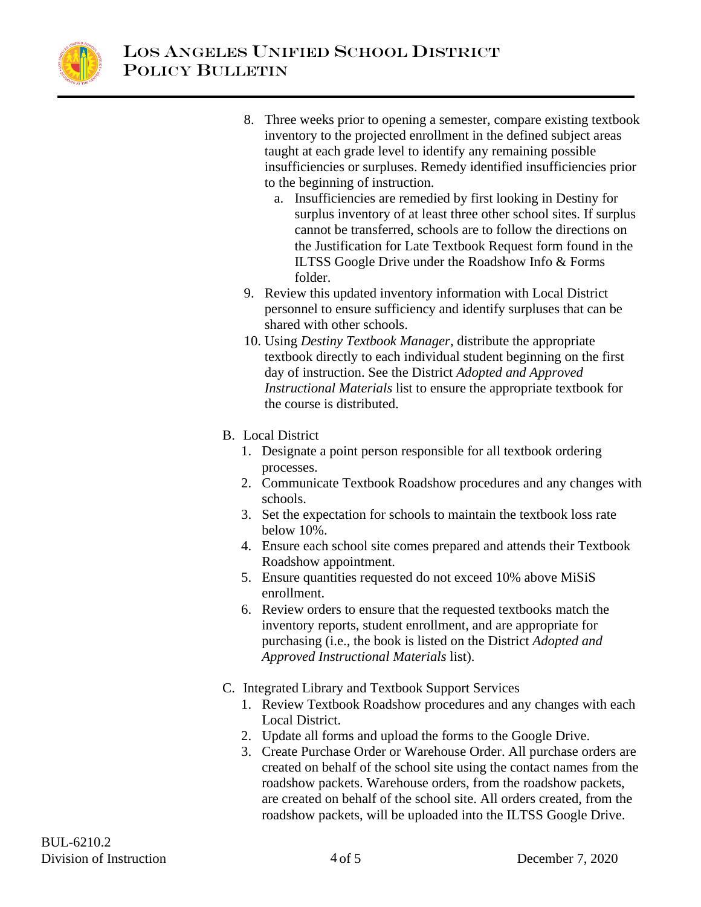

- 8. Three weeks prior to opening a semester, compare existing textbook inventory to the projected enrollment in the defined subject areas taught at each grade level to identify any remaining possible insufficiencies or surpluses. Remedy identified insufficiencies prior to the beginning of instruction.
	- a. Insufficiencies are remedied by first looking in Destiny for surplus inventory of at least three other school sites. If surplus cannot be transferred, schools are to follow the directions on the Justification for Late Textbook Request form found in the ILTSS Google Drive under the Roadshow Info & Forms folder.
- 9. Review this updated inventory information with Local District personnel to ensure sufficiency and identify surpluses that can be shared with other schools.
- 10. Using *Destiny Textbook Manager*, distribute the appropriate textbook directly to each individual student beginning on the first day of instruction. See the District *Adopted and Approved Instructional Materials* list to ensure the appropriate textbook for the course is distributed.

## B. Local District

- 1. Designate a point person responsible for all textbook ordering processes.
- 2. Communicate Textbook Roadshow procedures and any changes with schools.
- 3. Set the expectation for schools to maintain the textbook loss rate below 10%.
- 4. Ensure each school site comes prepared and attends their Textbook Roadshow appointment.
- 5. Ensure quantities requested do not exceed 10% above MiSiS enrollment.
- 6. Review orders to ensure that the requested textbooks match the inventory reports, student enrollment, and are appropriate for purchasing (i.e., the book is listed on the District *Adopted and Approved Instructional Materials* list).
- C. Integrated Library and Textbook Support Services
	- 1. Review Textbook Roadshow procedures and any changes with each Local District.
	- 2. Update all forms and upload the forms to the Google Drive.
	- 3. Create Purchase Order or Warehouse Order. All purchase orders are created on behalf of the school site using the contact names from the roadshow packets. Warehouse orders, from the roadshow packets, are created on behalf of the school site. All orders created, from the roadshow packets, will be uploaded into the ILTSS Google Drive.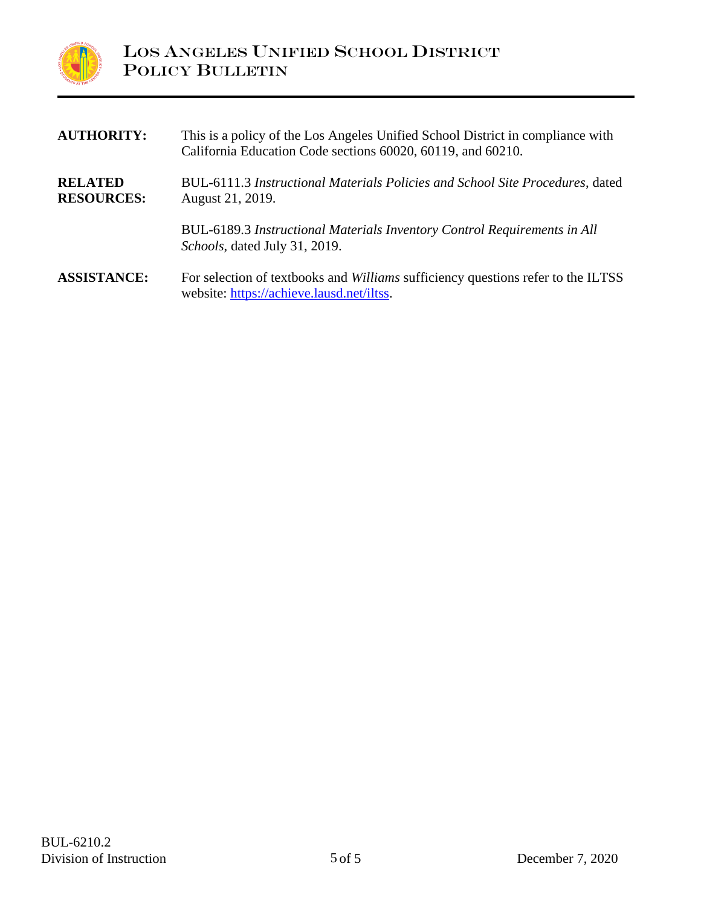

| <b>AUTHORITY:</b>                   | This is a policy of the Los Angeles Unified School District in compliance with<br>California Education Code sections 60020, 60119, and 60210. |
|-------------------------------------|-----------------------------------------------------------------------------------------------------------------------------------------------|
| <b>RELATED</b><br><b>RESOURCES:</b> | BUL-6111.3 Instructional Materials Policies and School Site Procedures, dated<br>August 21, 2019.                                             |
|                                     | BUL-6189.3 Instructional Materials Inventory Control Requirements in All<br><i>Schools</i> , dated July 31, 2019.                             |
| <b>ASSISTANCE:</b>                  | For selection of textbooks and <i>Williams</i> sufficiency questions refer to the ILTSS<br>website: https://achieve.lausd.net/iltss.          |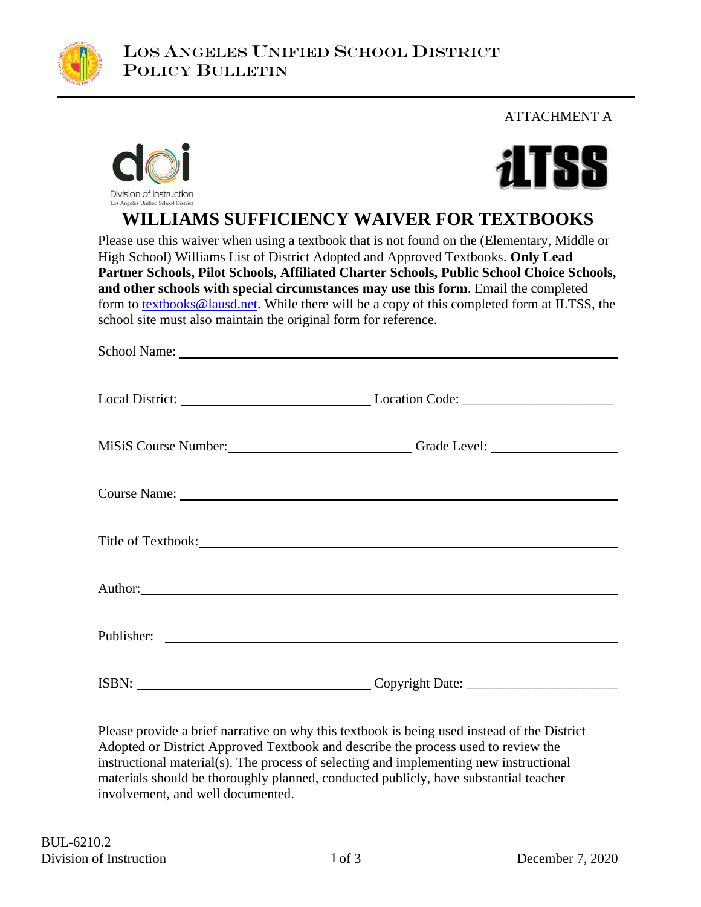

ATTACHMENT A





**WILLIAMS SUFFICIENCY WAIVER FOR TEXTBOOKS**

Please use this waiver when using a textbook that is not found on the (Elementary, Middle or High School) Williams List of District Adopted and Approved Textbooks. **Only Lead Partner Schools, Pilot Schools, Affiliated Charter Schools, Public School Choice Schools, and other schools with special circumstances may use this form**. Email the completed form to [textbooks@lausd.net.](mailto:textbooks@lausd.net) While there will be a copy of this completed form at ILTSS, the school site must also maintain the original form for reference.

|       | Local District: Local District: Local Only 1. Location Code: Location Code:                                                                                                                                                    |  |
|-------|--------------------------------------------------------------------------------------------------------------------------------------------------------------------------------------------------------------------------------|--|
|       | MiSiS Course Number: Cameron Crack Level: Crack Level:                                                                                                                                                                         |  |
|       |                                                                                                                                                                                                                                |  |
|       | Title of Textbook: Note that the set of the set of the set of the set of the set of the set of the set of the set of the set of the set of the set of the set of the set of the set of the set of the set of the set of the se |  |
|       | Author: New York Changes and the Changes of the Changes of the Changes of the Changes of the Changes of the Changes of the Changes of the Changes of the Changes of the Changes of the Changes of the Changes of the Changes o |  |
|       |                                                                                                                                                                                                                                |  |
| ISBN: |                                                                                                                                                                                                                                |  |

Please provide a brief narrative on why this textbook is being used instead of the District Adopted or District Approved Textbook and describe the process used to review the instructional material(s). The process of selecting and implementing new instructional materials should be thoroughly planned, conducted publicly, have substantial teacher involvement, and well documented.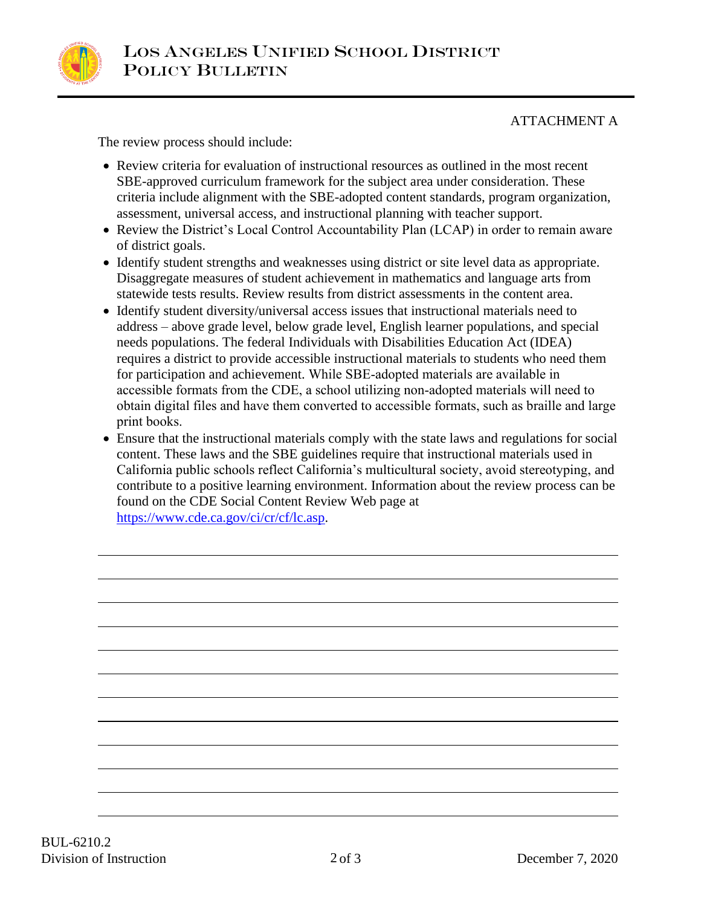

ATTACHMENT A

The review process should include:

- Review criteria for evaluation of instructional resources as outlined in the most recent SBE-approved curriculum framework for the subject area under consideration. These criteria include alignment with the SBE-adopted content standards, program organization, assessment, universal access, and instructional planning with teacher support.
- Review the District's Local Control Accountability Plan (LCAP) in order to remain aware of district goals.
- Identify student strengths and weaknesses using district or site level data as appropriate. Disaggregate measures of student achievement in mathematics and language arts from statewide tests results. Review results from district assessments in the content area.
- Identify student diversity/universal access issues that instructional materials need to address – above grade level, below grade level, English learner populations, and special needs populations. The federal Individuals with Disabilities Education Act (IDEA) requires a district to provide accessible instructional materials to students who need them for participation and achievement. While SBE-adopted materials are available in accessible formats from the CDE, a school utilizing non-adopted materials will need to obtain digital files and have them converted to accessible formats, such as braille and large print books.
- Ensure that the instructional materials comply with the state laws and regulations for social content. These laws and the SBE guidelines require that instructional materials used in California public schools reflect California's multicultural society, avoid stereotyping, and contribute to a positive learning environment. Information about the review process can be found on the CDE Social Content Review Web page at [https://www.cde.ca.gov/ci/cr/cf/lc.asp.](https://www.cde.ca.gov/ci/cr/cf/lc.asp)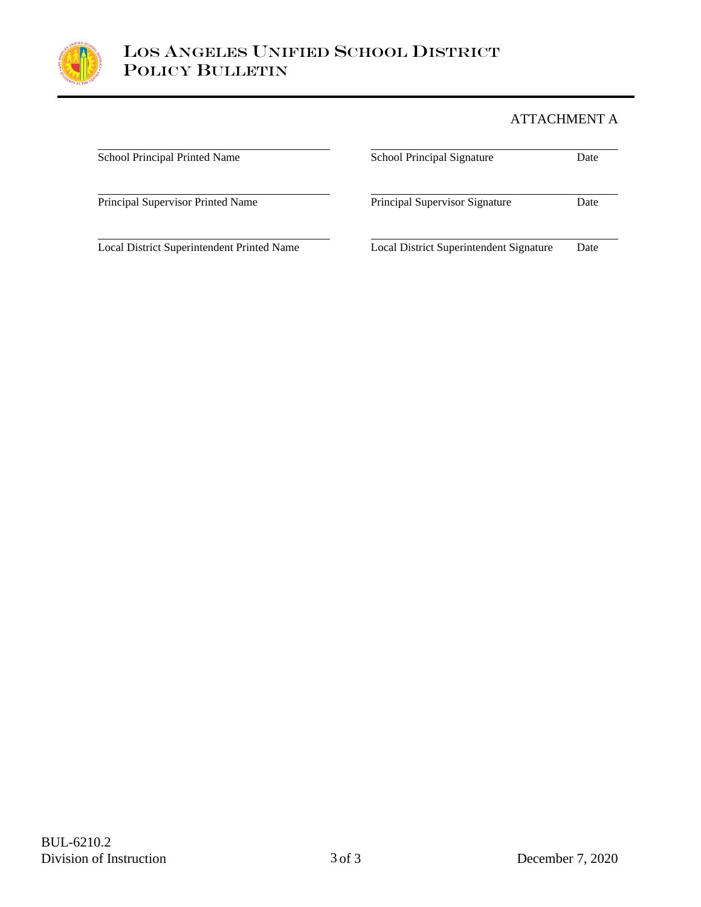

## ATTACHMENT A

| School Principal Printed Name              | <b>School Principal Signature</b>       | Date |
|--------------------------------------------|-----------------------------------------|------|
| Principal Supervisor Printed Name          | <b>Principal Supervisor Signature</b>   | Date |
| Local District Superintendent Printed Name | Local District Superintendent Signature | Date |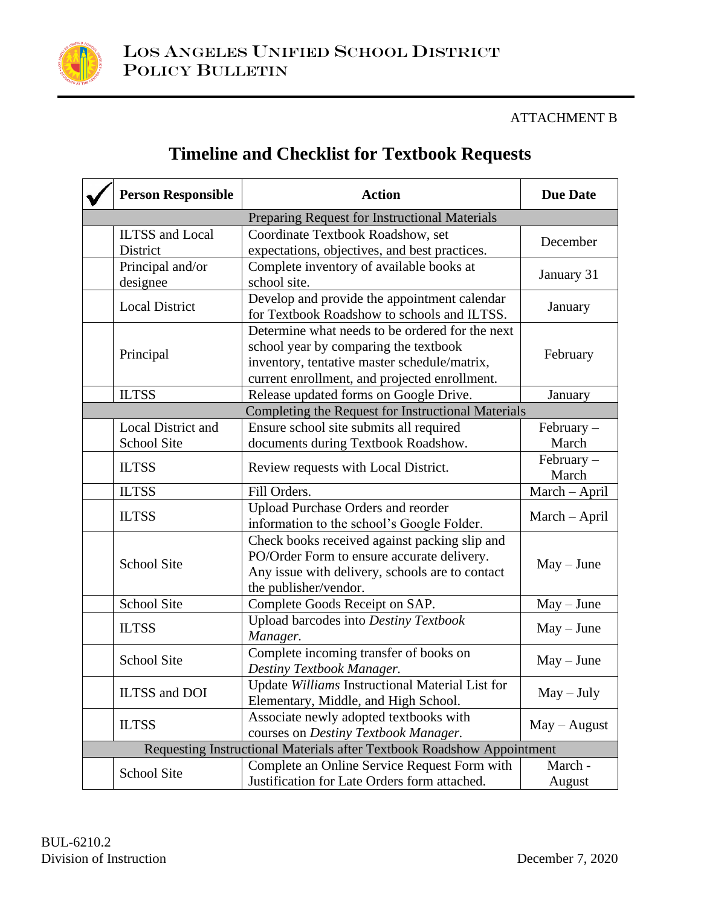

#### ATTACHMENT B

| <b>Timeline and Checklist for Textbook Requests</b> |  |
|-----------------------------------------------------|--|
|-----------------------------------------------------|--|

| <b>Person Responsible</b>          | <b>Action</b>                                                                                                                                                                             | <b>Due Date</b>       |
|------------------------------------|-------------------------------------------------------------------------------------------------------------------------------------------------------------------------------------------|-----------------------|
|                                    | Preparing Request for Instructional Materials                                                                                                                                             |                       |
| <b>ILTSS</b> and Local<br>District | Coordinate Textbook Roadshow, set<br>expectations, objectives, and best practices.                                                                                                        | December              |
| Principal and/or<br>designee       | Complete inventory of available books at<br>school site.                                                                                                                                  | January 31            |
| <b>Local District</b>              | Develop and provide the appointment calendar<br>for Textbook Roadshow to schools and ILTSS.                                                                                               | January               |
| Principal                          | Determine what needs to be ordered for the next<br>school year by comparing the textbook<br>inventory, tentative master schedule/matrix,<br>current enrollment, and projected enrollment. | February              |
| <b>ILTSS</b>                       | Release updated forms on Google Drive.                                                                                                                                                    | January               |
|                                    | Completing the Request for Instructional Materials                                                                                                                                        |                       |
| Local District and<br>School Site  | Ensure school site submits all required<br>documents during Textbook Roadshow.                                                                                                            | February-<br>March    |
| <b>ILTSS</b>                       | Review requests with Local District.                                                                                                                                                      | $February -$<br>March |
| <b>ILTSS</b>                       | Fill Orders.                                                                                                                                                                              | March - April         |
| <b>ILTSS</b>                       | <b>Upload Purchase Orders and reorder</b><br>information to the school's Google Folder.                                                                                                   | March - April         |
| <b>School Site</b>                 | Check books received against packing slip and<br>PO/Order Form to ensure accurate delivery.<br>Any issue with delivery, schools are to contact<br>the publisher/vendor.                   | $May - June$          |
| School Site                        | Complete Goods Receipt on SAP.                                                                                                                                                            | $May - June$          |
| <b>ILTSS</b>                       | Upload barcodes into Destiny Textbook<br>Manager.                                                                                                                                         | $May - June$          |
| <b>School Site</b>                 | Complete incoming transfer of books on<br>Destiny Textbook Manager.                                                                                                                       | $May - June$          |
| ILTSS and DOI                      | Update Williams Instructional Material List for<br>Elementary, Middle, and High School.                                                                                                   | $May - July$          |
| <b>ILTSS</b>                       | Associate newly adopted textbooks with<br>courses on Destiny Textbook Manager.                                                                                                            | $May - August$        |
|                                    | Requesting Instructional Materials after Textbook Roadshow Appointment                                                                                                                    |                       |
| School Site                        | Complete an Online Service Request Form with<br>Justification for Late Orders form attached.                                                                                              | March -<br>August     |